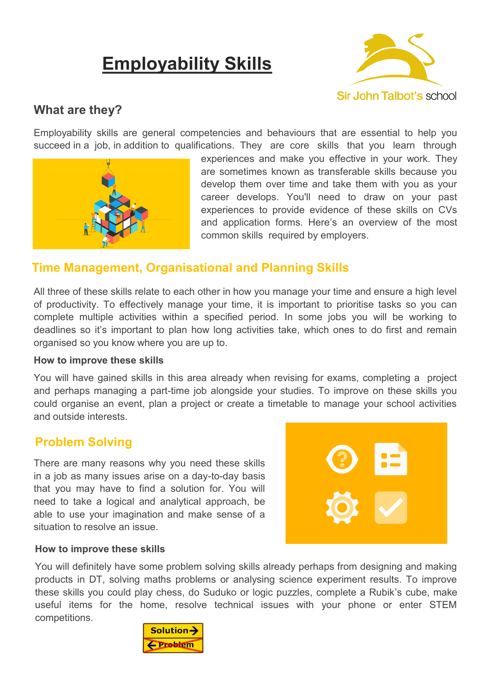# **Employability Skills**



# **What are they?**

Employability skills are general competencies and behaviours that are essential to help you succeed in a job, in addition to qualifications. They are core skills that you learn through



experiences and make you effective in your work. They are sometimes known as transferable skills because you develop them over time and take them with you as your career develops. You'll need to draw on your past experiences to provide evidence of these skills on CVs and application forms. Here's an overview of the most common skills required by employers.

# **Time Management, Organisational and Planning Skills**

All three of these skills relate to each other in how you manage your time and ensure a high level of productivity. To effectively manage your time, it is important to prioritise tasks so you can complete multiple activities within a specified period. In some jobs you will be working to deadlines so it's important to plan how long activities take, which ones to do first and remain organised so you know where you are up to.

#### **How to improve these skills**

You will have gained skills in this area already when revising for exams, completing a project and perhaps managing a part-time job alongside your studies. To improve on these skills you could organise an event, plan a project or create a timetable to manage your school activities and outside interests.

## **Problem Solving**

There are many reasons why you need these skills in a job as many issues arise on a day-to-day basis that you may have to find a solution for. You will need to take a logical and analytical approach, be able to use your imagination and make sense of a situation to resolve an issue.



#### **How to improve these skills**

You will definitely have some problem solving skills already perhaps from designing and making products in DT, solving maths problems or analysing science experiment results. To improve these skills you could play chess, do Suduko or logic puzzles, complete a Rubik's cube, make useful items for the home, resolve technical issues with your phone or enter STEM competitions.

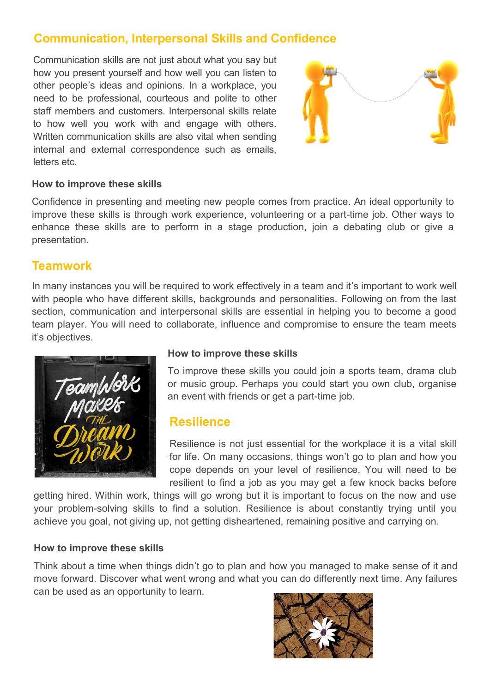# **Communication, Interpersonal Skills and Confidence**

Communication skills are not just about what you say but how you present yourself and how well you can listen to other people's ideas and opinions. In a workplace, you need to be professional, courteous and polite to other staff members and customers. Interpersonal skills relate to how well you work with and engage with others. Written communication skills are also vital when sending internal and external correspondence such as emails, letters etc.



#### **How to improve these skills**

Confidence in presenting and meeting new people comes from practice. An ideal opportunity to improve these skills is through work experience, volunteering or a part-time job. Other ways to enhance these skills are to perform in a stage production, join a debating club or give a presentation.

## **Teamwork**

In many instances you will be required to work effectively in a team and it's important to work well with people who have different skills, backgrounds and personalities. Following on from the last section, communication and interpersonal skills are essential in helping you to become a good team player. You will need to collaborate, influence and compromise to ensure the team meets it's objectives.



### **How to improve these skills**

To improve these skills you could join a sports team, drama club or music group. Perhaps you could start you own club, organise an event with friends or get a part-time job.

## **Resilience**

Resilience is not just essential for the workplace it is a vital skill for life. On many occasions, things won't go to plan and how you cope depends on your level of resilience. You will need to be resilient to find a job as you may get a few knock backs before

getting hired. Within work, things will go wrong but it is important to focus on the now and use your problem-solving skills to find a solution. Resilience is about constantly trying until you achieve you goal, not giving up, not getting disheartened, remaining positive and carrying on.

#### **How to improve these skills**

Think about a time when things didn't go to plan and how you managed to make sense of it and move forward. Discover what went wrong and what you can do differently next time. Any failures can be used as an opportunity to learn.